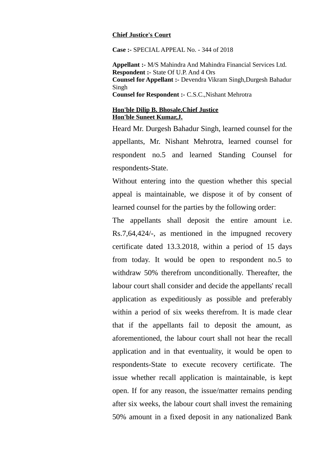## **Chief Justice's Court**

**Case :-** SPECIAL APPEAL No. - 344 of 2018

**Appellant :-** M/S Mahindra And Mahindra Financial Services Ltd. **Respondent :-** State Of U.P. And 4 Ors **Counsel for Appellant :-** Devendra Vikram Singh,Durgesh Bahadur Singh **Counsel for Respondent :-** C.S.C.,Nishant Mehrotra

## **Hon'ble Dilip B. Bhosale,Chief Justice Hon'ble Suneet Kumar,J.**

Heard Mr. Durgesh Bahadur Singh, learned counsel for the appellants, Mr. Nishant Mehrotra, learned counsel for respondent no.5 and learned Standing Counsel for respondents-State.

Without entering into the question whether this special appeal is maintainable, we dispose it of by consent of learned counsel for the parties by the following order:

The appellants shall deposit the entire amount i.e. Rs.7,64,424/-, as mentioned in the impugned recovery certificate dated 13.3.2018, within a period of 15 days from today. It would be open to respondent no.5 to withdraw 50% therefrom unconditionally. Thereafter, the labour court shall consider and decide the appellants' recall application as expeditiously as possible and preferably within a period of six weeks therefrom. It is made clear that if the appellants fail to deposit the amount, as aforementioned, the labour court shall not hear the recall application and in that eventuality, it would be open to respondents-State to execute recovery certificate. The issue whether recall application is maintainable, is kept open. If for any reason, the issue/matter remains pending after six weeks, the labour court shall invest the remaining 50% amount in a fixed deposit in any nationalized Bank